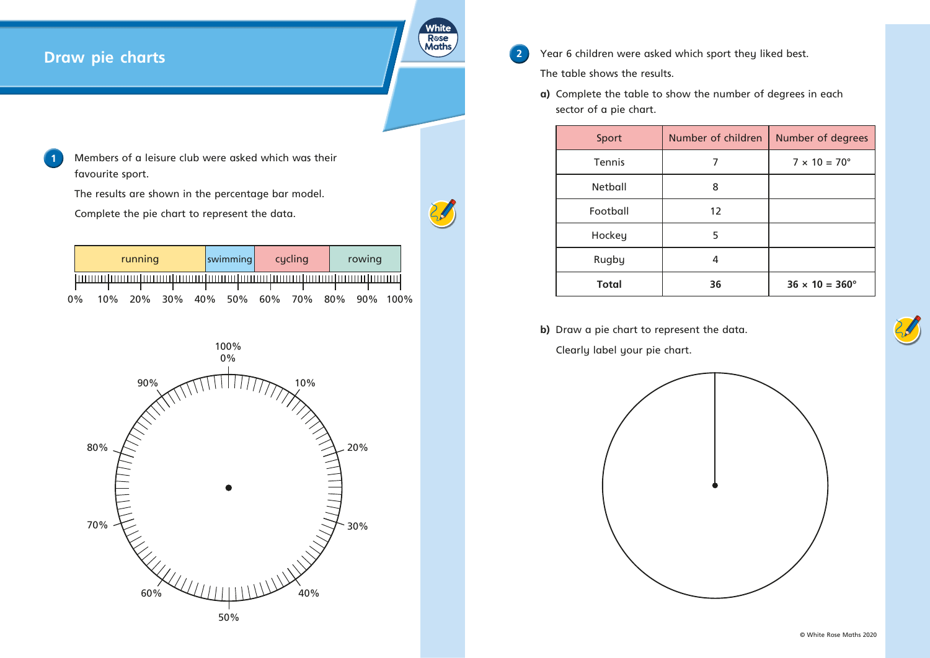## **Draw pie charts**

**1** Members of a leisure club were asked which was their favourite sport.

The results are shown in the percentage bar model.

Complete the pie chart to represent the data.

**2** Year 6 children were asked which sport they liked best. The table shows the results.

|       |     | running |  | swimming | cycling                              | rowing |  |
|-------|-----|---------|--|----------|--------------------------------------|--------|--|
|       |     |         |  |          |                                      |        |  |
|       |     |         |  |          |                                      |        |  |
| $0\%$ | 10% |         |  |          | 20% 30% 40% 50% 60% 70% 80% 90% 100% |        |  |

**a)** Complete the table to show the number of degrees in each sector of a pie chart.

| Sport          | Number of children | <b>Number of degrees</b>     |  |  |
|----------------|--------------------|------------------------------|--|--|
| Tennis         | 7                  | $7 \times 10 = 70^{\circ}$   |  |  |
| <b>Netball</b> | 8                  |                              |  |  |
| Football       | 12                 |                              |  |  |
| Hockey         | 5                  |                              |  |  |
| Rugby          | 4                  |                              |  |  |
| <b>Total</b>   | 36                 | $36 \times 10 = 360^{\circ}$ |  |  |

**b)** Draw a pie chart to represent the data. Clearly label your pie chart.







White R**ose**<br>Maths